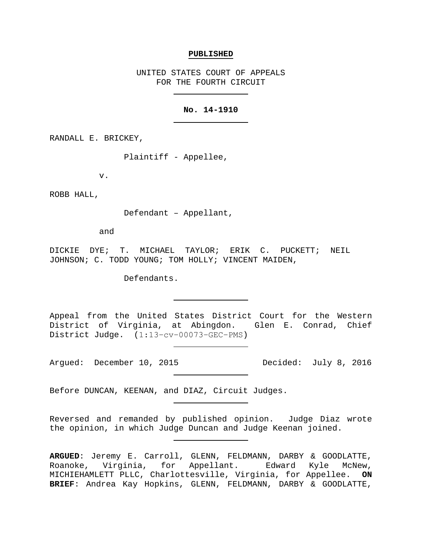#### **PUBLISHED**

UNITED STATES COURT OF APPEALS FOR THE FOURTH CIRCUIT

#### **No. 14-1910**

RANDALL E. BRICKEY,

Plaintiff - Appellee,

v.

ROBB HALL,

Defendant – Appellant,

and

DICKIE DYE; T. MICHAEL TAYLOR; ERIK C. PUCKETT; NEIL JOHNSON; C. TODD YOUNG; TOM HOLLY; VINCENT MAIDEN,

Defendants.

Appeal from the United States District Court for the Western District of Virginia, at Abingdon. Glen E. Conrad, Chief District Judge. (1:13−cv−00073−GEC−PMS)

Argued: December 10, 2015 Decided: July 8, 2016

Before DUNCAN, KEENAN, and DIAZ, Circuit Judges.

Reversed and remanded by published opinion. Judge Diaz wrote the opinion, in which Judge Duncan and Judge Keenan joined.

**ARGUED**: Jeremy E. Carroll, GLENN, FELDMANN, DARBY & GOODLATTE, Roanoke, Virginia, for Appellant. Edward Kyle McNew, MICHIEHAMLETT PLLC, Charlottesville, Virginia, for Appellee. **ON BRIEF**: Andrea Kay Hopkins, GLENN, FELDMANN, DARBY & GOODLATTE,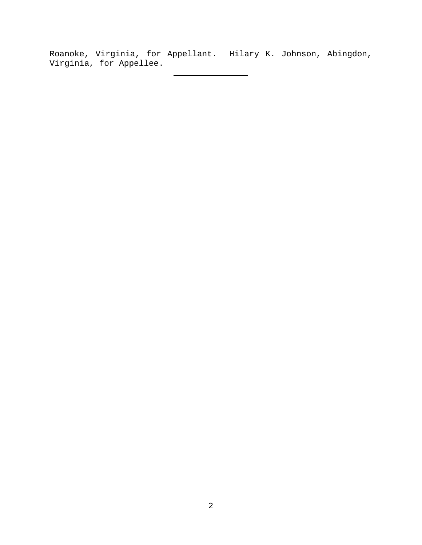Roanoke, Virginia, for Appellant. Hilary K. Johnson, Abingdon, Virginia, for Appellee.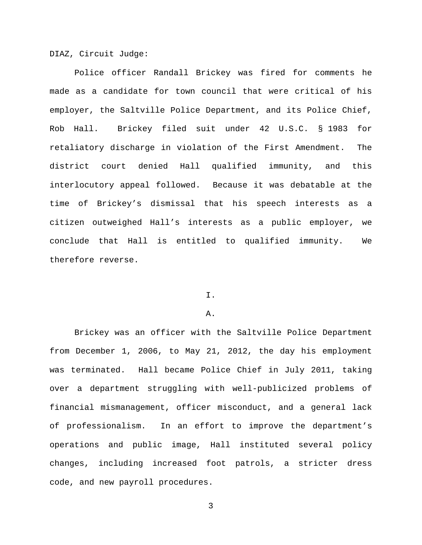DIAZ, Circuit Judge:

Police officer Randall Brickey was fired for comments he made as a candidate for town council that were critical of his employer, the Saltville Police Department, and its Police Chief, Rob Hall. Brickey filed suit under 42 U.S.C. § 1983 for retaliatory discharge in violation of the First Amendment. The district court denied Hall qualified immunity, and this interlocutory appeal followed. Because it was debatable at the time of Brickey's dismissal that his speech interests as a citizen outweighed Hall's interests as a public employer, we conclude that Hall is entitled to qualified immunity. We therefore reverse.

# I.

## A.

Brickey was an officer with the Saltville Police Department from December 1, 2006, to May 21, 2012, the day his employment was terminated. Hall became Police Chief in July 2011, taking over a department struggling with well-publicized problems of financial mismanagement, officer misconduct, and a general lack of professionalism. In an effort to improve the department's operations and public image, Hall instituted several policy changes, including increased foot patrols, a stricter dress code, and new payroll procedures.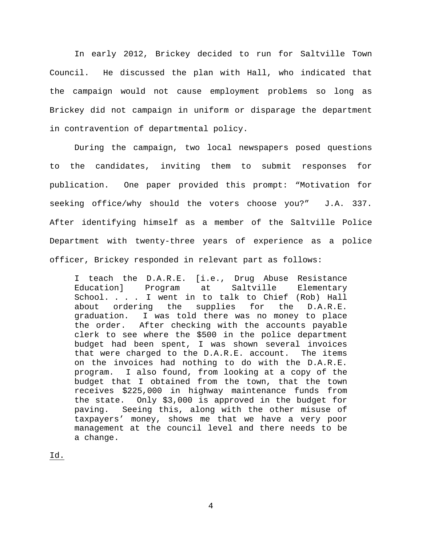In early 2012, Brickey decided to run for Saltville Town Council. He discussed the plan with Hall, who indicated that the campaign would not cause employment problems so long as Brickey did not campaign in uniform or disparage the department in contravention of departmental policy.

During the campaign, two local newspapers posed questions to the candidates, inviting them to submit responses for publication. One paper provided this prompt: "Motivation for seeking office/why should the voters choose you?" J.A. 337. After identifying himself as a member of the Saltville Police Department with twenty-three years of experience as a police officer, Brickey responded in relevant part as follows:

I teach the D.A.R.E. [i.e., Drug Abuse Resistance<br>Education] Program at Saltville Elementary Education] Program at Saltville Elementary School. . . . I went in to talk to Chief (Rob) Hall<br>about ordering the supplies for the D.A.R.E. about ordering the supplies for the D.A.R.E. graduation. I was told there was no money to place the order. After checking with the accounts payable clerk to see where the \$500 in the police department budget had been spent, I was shown several invoices that were charged to the D.A.R.E. account. The items on the invoices had nothing to do with the D.A.R.E. program. I also found, from looking at a copy of the budget that I obtained from the town, that the town receives \$225,000 in highway maintenance funds from the state. Only \$3,000 is approved in the budget for paving. Seeing this, along with the other misuse of taxpayers' money, shows me that we have a very poor management at the council level and there needs to be a change.

Id.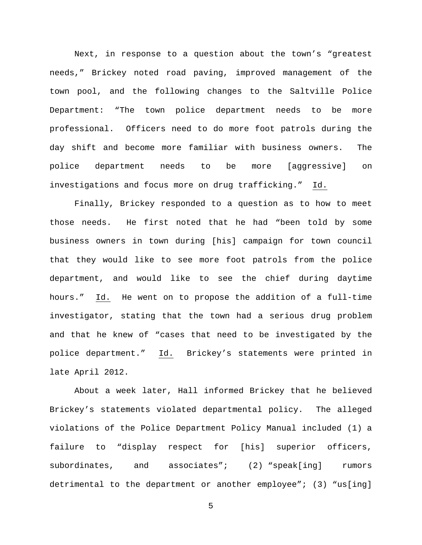Next, in response to a question about the town's "greatest needs," Brickey noted road paving, improved management of the town pool, and the following changes to the Saltville Police Department: "The town police department needs to be more professional. Officers need to do more foot patrols during the day shift and become more familiar with business owners. The police department needs to be more [aggressive] on investigations and focus more on drug trafficking." Id.

Finally, Brickey responded to a question as to how to meet those needs. He first noted that he had "been told by some business owners in town during [his] campaign for town council that they would like to see more foot patrols from the police department, and would like to see the chief during daytime hours." Id. He went on to propose the addition of a full-time investigator, stating that the town had a serious drug problem and that he knew of "cases that need to be investigated by the police department." Id. Brickey's statements were printed in late April 2012.

About a week later, Hall informed Brickey that he believed Brickey's statements violated departmental policy. The alleged violations of the Police Department Policy Manual included (1) a failure to "display respect for [his] superior officers, subordinates, and associates"; (2) "speak[ing] rumors detrimental to the department or another employee"; (3) "us[ing]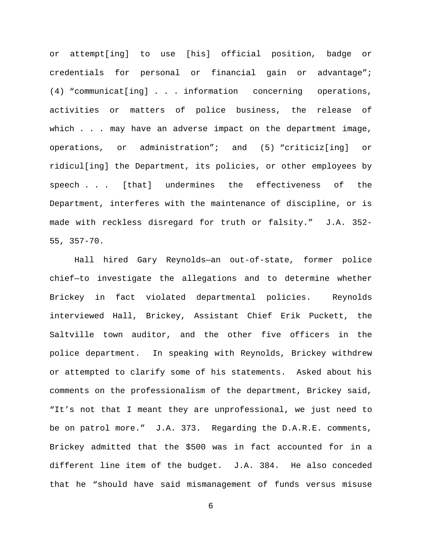or attempt[ing] to use [his] official position, badge or credentials for personal or financial gain or advantage"; (4) "communicat[ing] . . . information concerning operations, activities or matters of police business, the release of which . . . may have an adverse impact on the department image, operations, or administration"; and (5) "criticiz[ing] or ridicul[ing] the Department, its policies, or other employees by speech . . . [that] undermines the effectiveness of the Department, interferes with the maintenance of discipline, or is made with reckless disregard for truth or falsity." J.A. 352- 55, 357-70.

Hall hired Gary Reynolds—an out-of-state, former police chief—to investigate the allegations and to determine whether Brickey in fact violated departmental policies. Reynolds interviewed Hall, Brickey, Assistant Chief Erik Puckett, the Saltville town auditor, and the other five officers in the police department. In speaking with Reynolds, Brickey withdrew or attempted to clarify some of his statements. Asked about his comments on the professionalism of the department, Brickey said, "It's not that I meant they are unprofessional, we just need to be on patrol more." J.A. 373. Regarding the D.A.R.E. comments, Brickey admitted that the \$500 was in fact accounted for in a different line item of the budget. J.A. 384. He also conceded that he "should have said mismanagement of funds versus misuse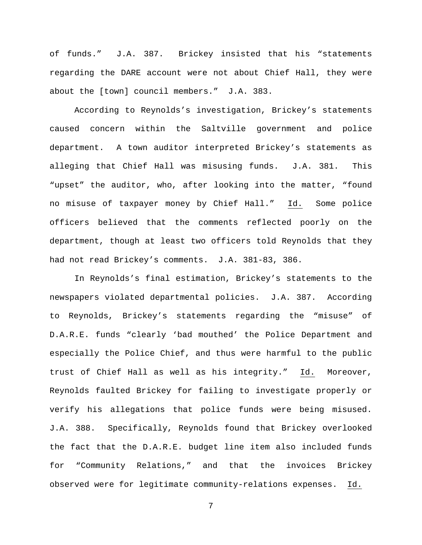of funds." J.A. 387. Brickey insisted that his "statements regarding the DARE account were not about Chief Hall, they were about the [town] council members." J.A. 383.

According to Reynolds's investigation, Brickey's statements caused concern within the Saltville government and police department. A town auditor interpreted Brickey's statements as alleging that Chief Hall was misusing funds. J.A. 381. This "upset" the auditor, who, after looking into the matter, "found no misuse of taxpayer money by Chief Hall." Id. Some police officers believed that the comments reflected poorly on the department, though at least two officers told Reynolds that they had not read Brickey's comments. J.A. 381-83, 386.

In Reynolds's final estimation, Brickey's statements to the newspapers violated departmental policies. J.A. 387. According to Reynolds, Brickey's statements regarding the "misuse" of D.A.R.E. funds "clearly 'bad mouthed' the Police Department and especially the Police Chief, and thus were harmful to the public trust of Chief Hall as well as his integrity." Id. Moreover, Reynolds faulted Brickey for failing to investigate properly or verify his allegations that police funds were being misused. J.A. 388. Specifically, Reynolds found that Brickey overlooked the fact that the D.A.R.E. budget line item also included funds for "Community Relations," and that the invoices Brickey observed were for legitimate community-relations expenses. Id.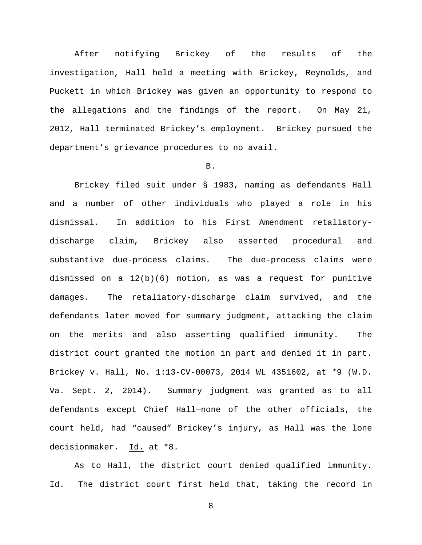After notifying Brickey of the results of the investigation, Hall held a meeting with Brickey, Reynolds, and Puckett in which Brickey was given an opportunity to respond to the allegations and the findings of the report. On May 21, 2012, Hall terminated Brickey's employment. Brickey pursued the department's grievance procedures to no avail.

## B.

Brickey filed suit under § 1983, naming as defendants Hall and a number of other individuals who played a role in his dismissal. In addition to his First Amendment retaliatorydischarge claim, Brickey also asserted procedural and substantive due-process claims. The due-process claims were dismissed on a  $12(b)(6)$  motion, as was a request for punitive damages. The retaliatory-discharge claim survived, and the defendants later moved for summary judgment, attacking the claim on the merits and also asserting qualified immunity. The district court granted the motion in part and denied it in part. Brickey v. Hall, No. 1:13-CV-00073, 2014 WL 4351602, at \*9 (W.D. Va. Sept. 2, 2014). Summary judgment was granted as to all defendants except Chief Hall—none of the other officials, the court held, had "caused" Brickey's injury, as Hall was the lone decisionmaker. Id. at \*8.

As to Hall, the district court denied qualified immunity. Id. The district court first held that, taking the record in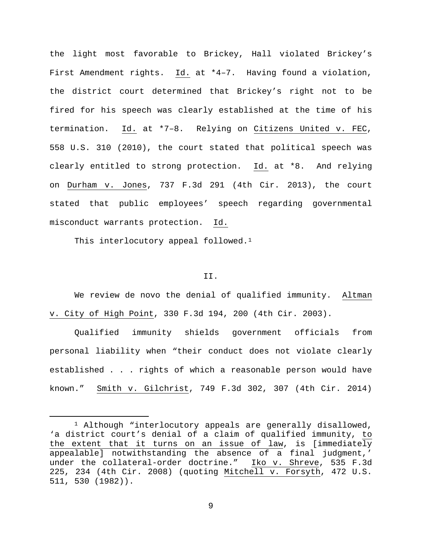the light most favorable to Brickey, Hall violated Brickey's First Amendment rights. Id. at \*4–7. Having found a violation, the district court determined that Brickey's right not to be fired for his speech was clearly established at the time of his termination. Id. at \*7–8. Relying on Citizens United v. FEC, 558 U.S. 310 (2010), the court stated that political speech was clearly entitled to strong protection. Id. at \*8. And relying on Durham v. Jones, 737 F.3d 291 (4th Cir. 2013), the court stated that public employees' speech regarding governmental misconduct warrants protection. Id.

This interlocutory appeal followed.<sup>1</sup>

# II.

We review de novo the denial of qualified immunity. Altman v. City of High Point, 330 F.3d 194, 200 (4th Cir. 2003).

Qualified immunity shields government officials from personal liability when "their conduct does not violate clearly established . . . rights of which a reasonable person would have known." Smith v. Gilchrist, 749 F.3d 302, 307 (4th Cir. 2014)

<span id="page-8-0"></span><sup>&</sup>lt;sup>1</sup> Although "interlocutory appeals are generally disallowed, 'a district court's denial of a claim of qualified immunity, to the extent that it turns on an issue of law, is [immediately appealable] notwithstanding the absence of a final judgment,' under the collateral-order doctrine." Iko v. Shreve, 535 F.3d 225, 234 (4th Cir. 2008) (quoting Mitchell v. Forsyth, 472 U.S. 511, 530 (1982)).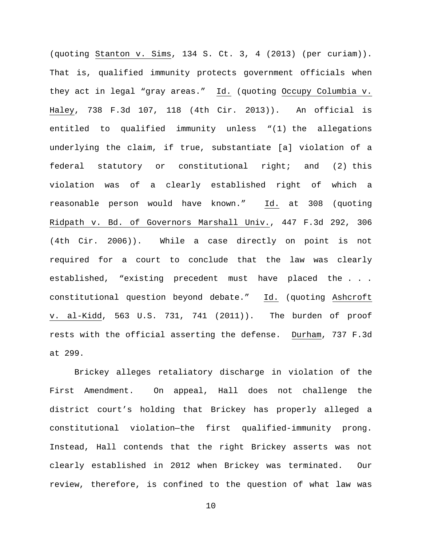(quoting Stanton v. Sims, 134 S. Ct. 3, 4 (2013) (per curiam)). That is, qualified immunity protects government officials when they act in legal "gray areas." Id. (quoting Occupy Columbia v. Haley, 738 F.3d 107, 118 (4th Cir. 2013)). An official is entitled to qualified immunity unless "(1) the allegations underlying the claim, if true, substantiate [a] violation of a federal statutory or constitutional right; and (2) this violation was of a clearly established right of which a reasonable person would have known." Id. at 308 (quoting Ridpath v. Bd. of Governors Marshall Univ., 447 F.3d 292, 306 (4th Cir. 2006)). While a case directly on point is not required for a court to conclude that the law was clearly established, "existing precedent must have placed the . . . constitutional question beyond debate." Id. (quoting Ashcroft v. al-Kidd, 563 U.S. 731, 741 (2011)). The burden of proof rests with the official asserting the defense. Durham, 737 F.3d at 299.

Brickey alleges retaliatory discharge in violation of the First Amendment. On appeal, Hall does not challenge the district court's holding that Brickey has properly alleged a constitutional violation—the first qualified-immunity prong. Instead, Hall contends that the right Brickey asserts was not clearly established in 2012 when Brickey was terminated. Our review, therefore, is confined to the question of what law was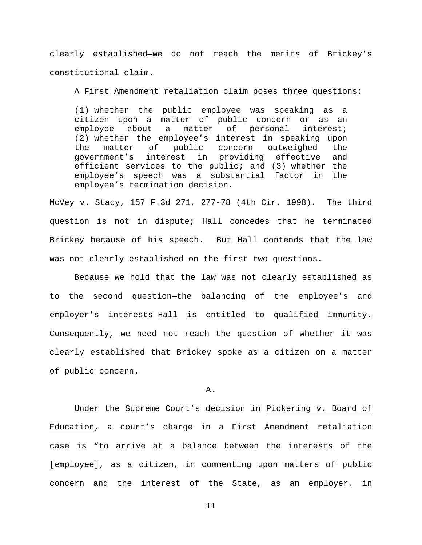clearly established—we do not reach the merits of Brickey's constitutional claim.

A First Amendment retaliation claim poses three questions:

(1) whether the public employee was speaking as a citizen upon a matter of public concern or as an<br>employee about a matter of personal interest; employee about a matter of personal (2) whether the employee's interest in speaking upon<br>the matter of public concern outweighed the the matter of public concern outweighed the<br>qovernment's interest in providing effective and interest in providing effective and efficient services to the public; and (3) whether the employee's speech was a substantial factor in the employee's termination decision.

McVey v. Stacy, 157 F.3d 271, 277-78 (4th Cir. 1998). The third question is not in dispute; Hall concedes that he terminated Brickey because of his speech. But Hall contends that the law was not clearly established on the first two questions.

Because we hold that the law was not clearly established as to the second question—the balancing of the employee's and employer's interests—Hall is entitled to qualified immunity. Consequently, we need not reach the question of whether it was clearly established that Brickey spoke as a citizen on a matter of public concern.

A.

Under the Supreme Court's decision in Pickering v. Board of Education, a court's charge in a First Amendment retaliation case is "to arrive at a balance between the interests of the [employee], as a citizen, in commenting upon matters of public concern and the interest of the State, as an employer, in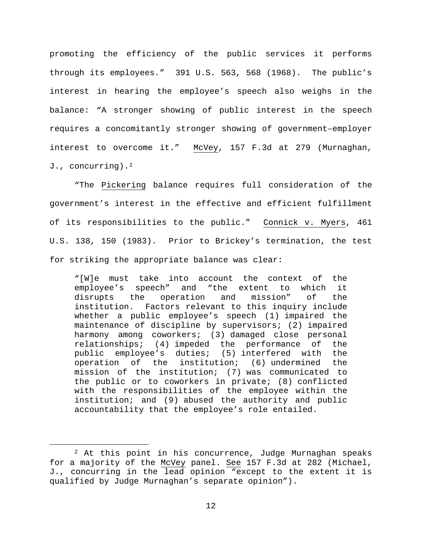promoting the efficiency of the public services it performs through its employees." 391 U.S. 563, 568 (1968). The public's interest in hearing the employee's speech also weighs in the balance: "A stronger showing of public interest in the speech requires a concomitantly stronger showing of government–employer interest to overcome it." McVey, 157 F.3d at 279 (Murnaghan, J., concurring).<sup>[2](#page-11-0)</sup>

"The Pickering balance requires full consideration of the government's interest in the effective and efficient fulfillment of its responsibilities to the public." Connick v. Myers, 461 U.S. 138, 150 (1983). Prior to Brickey's termination, the test for striking the appropriate balance was clear:

"[W]e must take into account the context of the employee's speech" and "the extent to which<br>disrupts the operation and mission" of disrupts the operation and mission" of the institution. Factors relevant to this inquiry include whether a public employee's speech (1) impaired the maintenance of discipline by supervisors; (2) impaired harmony among coworkers; (3) damaged close personal relationships; (4) impeded the performance of the public employee's duties; (5) interfered with the<br>operation of the institution; (6) undermined the operation of the institution;  $(6)$  undermined mission of the institution; (7) was communicated to the public or to coworkers in private; (8) conflicted with the responsibilities of the employee within the institution; and (9) abused the authority and public accountability that the employee's role entailed.

<span id="page-11-0"></span> <sup>2</sup> At this point in his concurrence, Judge Murnaghan speaks for a majority of the McVey panel. See 157 F.3d at 282 (Michael, J., concurring in the lead opinion "except to the extent it is qualified by Judge Murnaghan's separate opinion").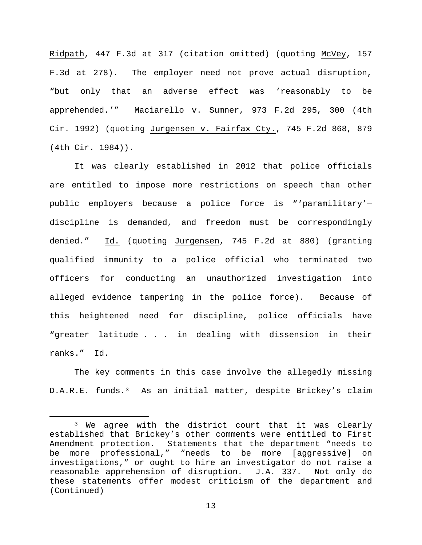Ridpath, 447 F.3d at 317 (citation omitted) (quoting McVey, 157 F.3d at 278). The employer need not prove actual disruption, "but only that an adverse effect was 'reasonably to be apprehended.'" Maciarello v. Sumner, 973 F.2d 295, 300 (4th Cir. 1992) (quoting Jurgensen v. Fairfax Cty., 745 F.2d 868, 879 (4th Cir. 1984)).

It was clearly established in 2012 that police officials are entitled to impose more restrictions on speech than other public employers because a police force is "'paramilitary' discipline is demanded, and freedom must be correspondingly denied." Id. (quoting Jurgensen, 745 F.2d at 880) (granting qualified immunity to a police official who terminated two officers for conducting an unauthorized investigation into alleged evidence tampering in the police force). Because of this heightened need for discipline, police officials have "greater latitude . . . in dealing with dissension in their ranks." Id.

The key comments in this case involve the allegedly missing D.A.R.E. funds.[3](#page-12-0) As an initial matter, despite Brickey's claim

<span id="page-12-0"></span><sup>&</sup>lt;sup>3</sup> We agree with the district court that it was clearly established that Brickey's other comments were entitled to First Amendment protection. Statements that the department "needs to be more professional," "needs to be more [aggressive] on investigations," or ought to hire an investigator do not raise a reasonable apprehension of disruption. these statements offer modest criticism of the department and (Continued)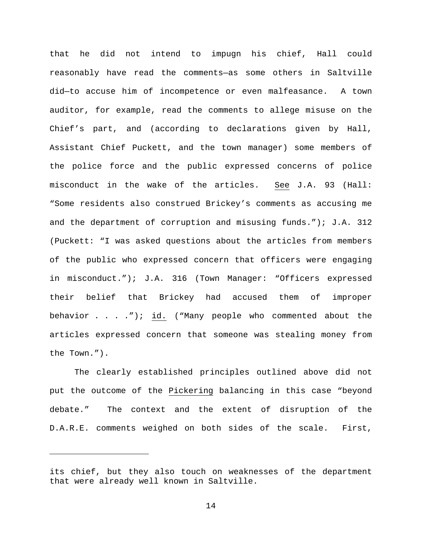that he did not intend to impugn his chief, Hall could reasonably have read the comments—as some others in Saltville did—to accuse him of incompetence or even malfeasance. A town auditor, for example, read the comments to allege misuse on the Chief's part, and (according to declarations given by Hall, Assistant Chief Puckett, and the town manager) some members of the police force and the public expressed concerns of police misconduct in the wake of the articles. See J.A. 93 (Hall: "Some residents also construed Brickey's comments as accusing me and the department of corruption and misusing funds."); J.A. 312 (Puckett: "I was asked questions about the articles from members of the public who expressed concern that officers were engaging in misconduct."); J.A. 316 (Town Manager: "Officers expressed their belief that Brickey had accused them of improper behavior . . . ."); id. ("Many people who commented about the articles expressed concern that someone was stealing money from the Town.").

The clearly established principles outlined above did not put the outcome of the Pickering balancing in this case "beyond debate." The context and the extent of disruption of the D.A.R.E. comments weighed on both sides of the scale. First,

Ĩ.

its chief, but they also touch on weaknesses of the department that were already well known in Saltville.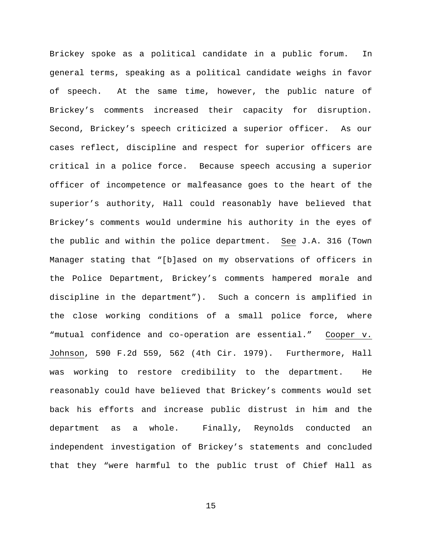Brickey spoke as a political candidate in a public forum. In general terms, speaking as a political candidate weighs in favor of speech. At the same time, however, the public nature of Brickey's comments increased their capacity for disruption. Second, Brickey's speech criticized a superior officer. As our cases reflect, discipline and respect for superior officers are critical in a police force. Because speech accusing a superior officer of incompetence or malfeasance goes to the heart of the superior's authority, Hall could reasonably have believed that Brickey's comments would undermine his authority in the eyes of the public and within the police department. See J.A. 316 (Town Manager stating that "[b]ased on my observations of officers in the Police Department, Brickey's comments hampered morale and discipline in the department"). Such a concern is amplified in the close working conditions of a small police force, where "mutual confidence and co-operation are essential." Cooper v. Johnson, 590 F.2d 559, 562 (4th Cir. 1979). Furthermore, Hall was working to restore credibility to the department. He reasonably could have believed that Brickey's comments would set back his efforts and increase public distrust in him and the department as a whole. Finally, Reynolds conducted an independent investigation of Brickey's statements and concluded that they "were harmful to the public trust of Chief Hall as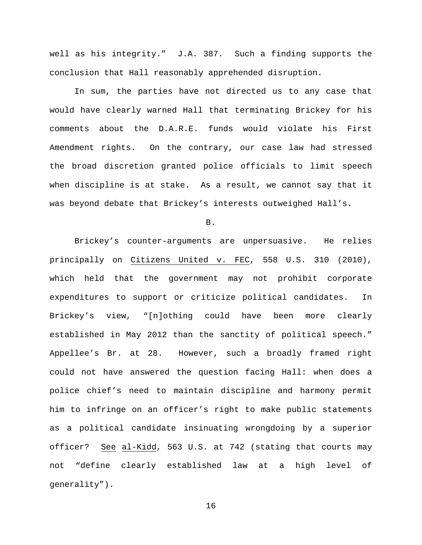well as his integrity." J.A. 387. Such a finding supports the conclusion that Hall reasonably apprehended disruption.

In sum, the parties have not directed us to any case that would have clearly warned Hall that terminating Brickey for his comments about the D.A.R.E. funds would violate his First Amendment rights. On the contrary, our case law had stressed the broad discretion granted police officials to limit speech when discipline is at stake. As a result, we cannot say that it was beyond debate that Brickey's interests outweighed Hall's.

B.

Brickey's counter-arguments are unpersuasive. He relies principally on Citizens United v. FEC, 558 U.S. 310 (2010), which held that the government may not prohibit corporate expenditures to support or criticize political candidates. In Brickey's view, "[n]othing could have been more clearly established in May 2012 than the sanctity of political speech." Appellee's Br. at 28. However, such a broadly framed right could not have answered the question facing Hall: when does a police chief's need to maintain discipline and harmony permit him to infringe on an officer's right to make public statements as a political candidate insinuating wrongdoing by a superior officer? See al-Kidd, 563 U.S. at 742 (stating that courts may not "define clearly established law at a high level of generality").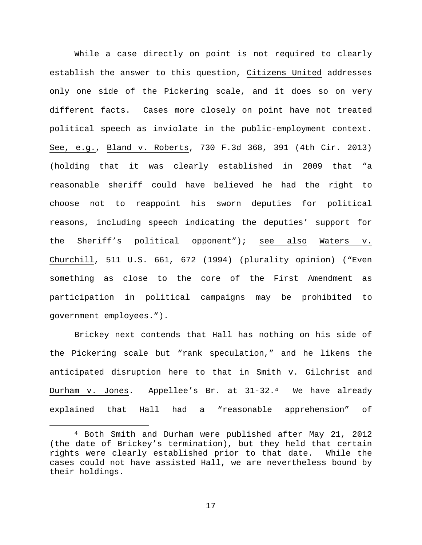While a case directly on point is not required to clearly establish the answer to this question, Citizens United addresses only one side of the Pickering scale, and it does so on very different facts. Cases more closely on point have not treated political speech as inviolate in the public-employment context. See, e.g., Bland v. Roberts, 730 F.3d 368, 391 (4th Cir. 2013) (holding that it was clearly established in 2009 that "a reasonable sheriff could have believed he had the right to choose not to reappoint his sworn deputies for political reasons, including speech indicating the deputies' support for the Sheriff's political opponent"); see also Waters v. Churchill, 511 U.S. 661, 672 (1994) (plurality opinion) ("Even something as close to the core of the First Amendment as participation in political campaigns may be prohibited to government employees.").

Brickey next contends that Hall has nothing on his side of the Pickering scale but "rank speculation," and he likens the anticipated disruption here to that in Smith v. Gilchrist and Durham v. Jones. Appellee's Br. at 31-32.[4](#page-16-0) We have already explained that Hall had a "reasonable apprehension" of

<span id="page-16-0"></span> <sup>4</sup> Both Smith and Durham were published after May 21, 2012 (the date of Brickey's termination), but they held that certain rights were clearly established prior to that date. While the cases could not have assisted Hall, we are nevertheless bound by their holdings.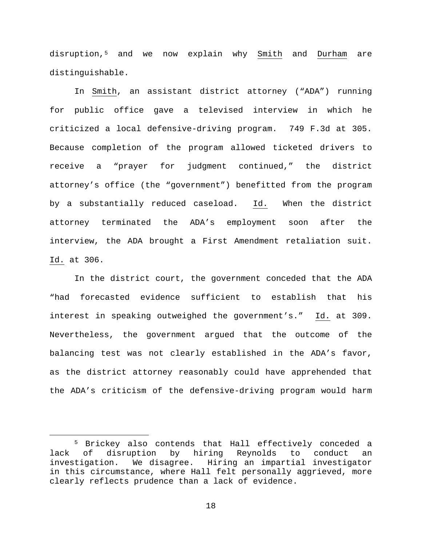disruption,[5](#page-17-0) and we now explain why Smith and Durham are distinguishable.

In Smith, an assistant district attorney ("ADA") running for public office gave a televised interview in which he criticized a local defensive-driving program. 749 F.3d at 305. Because completion of the program allowed ticketed drivers to receive a "prayer for judgment continued," the district attorney's office (the "government") benefitted from the program by a substantially reduced caseload. Id. When the district attorney terminated the ADA's employment soon after the interview, the ADA brought a First Amendment retaliation suit. Id. at 306.

In the district court, the government conceded that the ADA "had forecasted evidence sufficient to establish that his interest in speaking outweighed the government's." Id. at 309. Nevertheless, the government argued that the outcome of the balancing test was not clearly established in the ADA's favor, as the district attorney reasonably could have apprehended that the ADA's criticism of the defensive-driving program would harm

<span id="page-17-0"></span><sup>&</sup>lt;sup>5</sup> Brickey also contends that Hall effectively conceded a<br>lack of disruption by hiring Reynolds to conduct an by hiring Reynolds to conduct an investigation. We disagree. Hiring an impartial investigator in this circumstance, where Hall felt personally aggrieved, more clearly reflects prudence than a lack of evidence.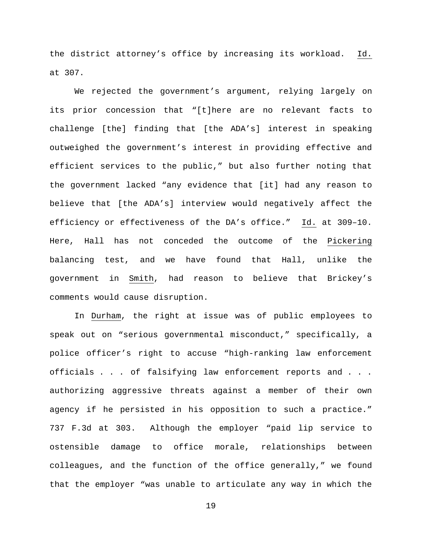the district attorney's office by increasing its workload. Id. at 307.

We rejected the government's argument, relying largely on its prior concession that "[t]here are no relevant facts to challenge [the] finding that [the ADA's] interest in speaking outweighed the government's interest in providing effective and efficient services to the public," but also further noting that the government lacked "any evidence that [it] had any reason to believe that [the ADA's] interview would negatively affect the efficiency or effectiveness of the DA's office." Id. at 309–10. Here, Hall has not conceded the outcome of the Pickering balancing test, and we have found that Hall, unlike the government in Smith, had reason to believe that Brickey's comments would cause disruption.

In Durham, the right at issue was of public employees to speak out on "serious governmental misconduct," specifically, a police officer's right to accuse "high-ranking law enforcement officials . . . of falsifying law enforcement reports and . . . authorizing aggressive threats against a member of their own agency if he persisted in his opposition to such a practice." 737 F.3d at 303. Although the employer "paid lip service to ostensible damage to office morale, relationships between colleagues, and the function of the office generally," we found that the employer "was unable to articulate any way in which the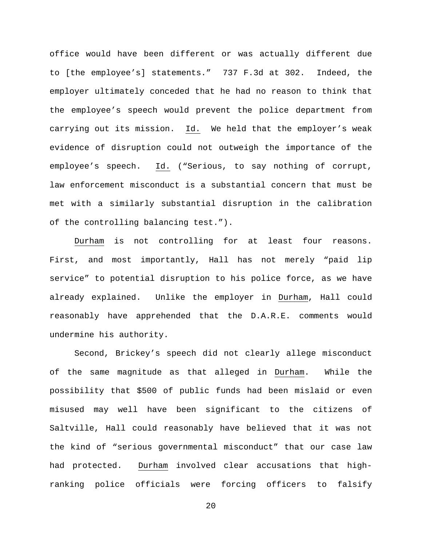office would have been different or was actually different due to [the employee's] statements." 737 F.3d at 302. Indeed, the employer ultimately conceded that he had no reason to think that the employee's speech would prevent the police department from carrying out its mission. Id. We held that the employer's weak evidence of disruption could not outweigh the importance of the employee's speech. Id. ("Serious, to say nothing of corrupt, law enforcement misconduct is a substantial concern that must be met with a similarly substantial disruption in the calibration of the controlling balancing test.").

Durham is not controlling for at least four reasons. First, and most importantly, Hall has not merely "paid lip service" to potential disruption to his police force, as we have already explained. Unlike the employer in Durham, Hall could reasonably have apprehended that the D.A.R.E. comments would undermine his authority.

Second, Brickey's speech did not clearly allege misconduct of the same magnitude as that alleged in Durham. While the possibility that \$500 of public funds had been mislaid or even misused may well have been significant to the citizens of Saltville, Hall could reasonably have believed that it was not the kind of "serious governmental misconduct" that our case law had protected. Durham involved clear accusations that highranking police officials were forcing officers to falsify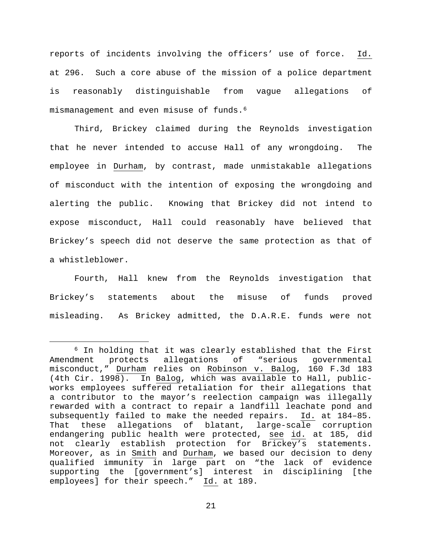reports of incidents involving the officers' use of force. Id. at 296. Such a core abuse of the mission of a police department is reasonably distinguishable from vague allegations of mismanagement and even misuse of funds.[6](#page-20-0)

Third, Brickey claimed during the Reynolds investigation that he never intended to accuse Hall of any wrongdoing. The employee in Durham, by contrast, made unmistakable allegations of misconduct with the intention of exposing the wrongdoing and alerting the public. Knowing that Brickey did not intend to expose misconduct, Hall could reasonably have believed that Brickey's speech did not deserve the same protection as that of a whistleblower.

Fourth, Hall knew from the Reynolds investigation that Brickey's statements about the misuse of funds proved misleading. As Brickey admitted, the D.A.R.E. funds were not

<span id="page-20-0"></span><sup>&</sup>lt;sup>6</sup> In holding that it was clearly established that the First<br>ment protects allegations of "serious governmental Amendment protects allegations of "serious governmental misconduct," Durham relies on Robinson v. Balog, 160 F.3d 183 (4th Cir. 1998). In Balog, which was available to Hall, publicworks employees suffered retaliation for their allegations that a contributor to the mayor's reelection campaign was illegally rewarded with a contract to repair a landfill leachate pond and subsequently failed to make the needed repairs. Id. at 184–85. That these allegations of blatant, large-scale corruption endangering public health were protected, see id. at 185, did not clearly establish protection for Brickey's statements. Moreover, as in Smith and Durham, we based our decision to deny qualified immunity in large part on "the lack of evidence supporting the [government's] interest in disciplining [the employees] for their speech." Id. at 189.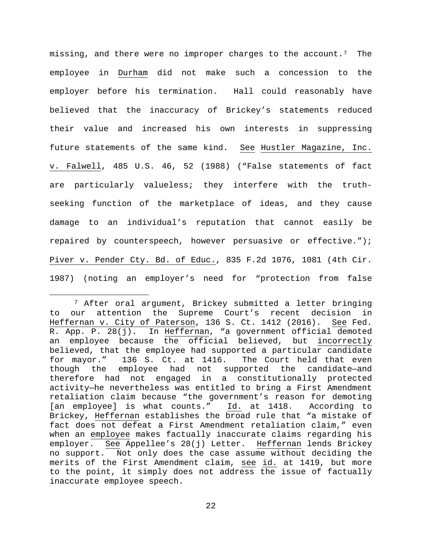missing, and there were no improper charges to the account.<sup>7</sup> The employee in Durham did not make such a concession to the employer before his termination. Hall could reasonably have believed that the inaccuracy of Brickey's statements reduced their value and increased his own interests in suppressing future statements of the same kind. See Hustler Magazine, Inc. v. Falwell, 485 U.S. 46, 52 (1988) ("False statements of fact are particularly valueless; they interfere with the truthseeking function of the marketplace of ideas, and they cause damage to an individual's reputation that cannot easily be repaired by counterspeech, however persuasive or effective."); Piver v. Pender Cty. Bd. of Educ., 835 F.2d 1076, 1081 (4th Cir. 1987) (noting an employer's need for "protection from false

<span id="page-21-0"></span> <sup>7</sup> After oral argument, Brickey submitted a letter bringing to our attention the Supreme Court's recent decision in Heffernan v. City of Paterson, 136 S. Ct. 1412 (2016). See Fed. R. App. P. 28(j). In Heffernan, "a government official demoted an employee because the official believed, but incorrectly believed, that the employee had supported a particular candidate<br>for mayor." 136 S. Ct. at 1416. The Court held that even The Court held that even though the employee had not supported the candidate—and therefore had not engaged in a constitutionally protected activity—he nevertheless was entitled to bring a First Amendment retaliation claim because "the government's reason for demoting [an employee] is what counts." Id. at 1418. According to Brickey, Heffernan establishes the broad rule that "a mistake of fact does not defeat a First Amendment retaliation claim," even when an employee makes factually inaccurate claims regarding his employer. See Appellee's 28(j) Letter. Heffernan lends Brickey no support. Not only does the case assume without deciding the merits of the First Amendment claim, see id. at 1419, but more to the point, it simply does not address the issue of factually inaccurate employee speech.